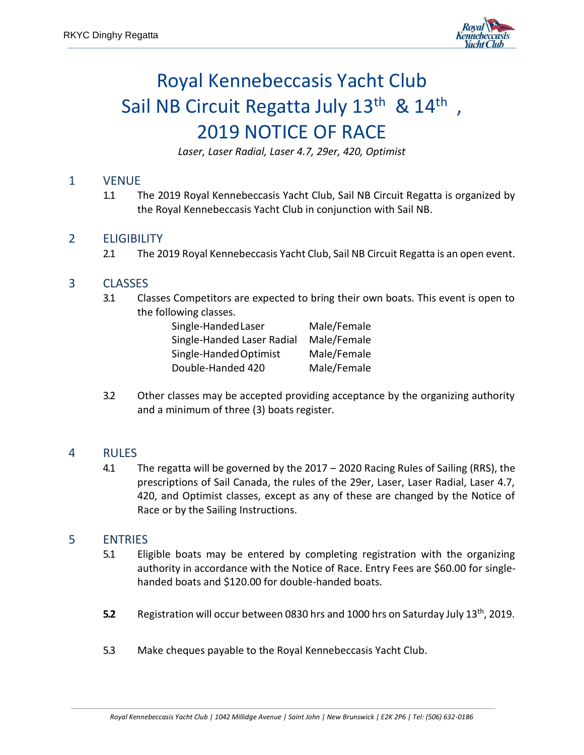

# Royal Kennebeccasis Yacht Club Sail NB Circuit Regatta July 13<sup>th</sup> & 14<sup>th</sup>, 2019 NOTICE OF RACE

*Laser, Laser Radial, Laser 4.7, 29er, 420, Optimist*

### 1 VENUE

1.1 The 2019 Royal Kennebeccasis Yacht Club, Sail NB Circuit Regatta is organized by the Royal Kennebeccasis Yacht Club in conjunction with Sail NB.

## 2 ELIGIBILITY

2.1 The 2019 Royal Kennebeccasis Yacht Club, Sail NB Circuit Regatta is an open event.

## 3 CLASSES

3.1 Classes Competitors are expected to bring their own boats. This event is open to the following classes.

| Single-Handed Laser        | Male/Female |
|----------------------------|-------------|
| Single-Handed Laser Radial | Male/Female |
| Single-Handed Optimist     | Male/Female |
| Double-Handed 420          | Male/Female |

3.2 Other classes may be accepted providing acceptance by the organizing authority and a minimum of three (3) boats register.

### 4 RULES

4.1 The regatta will be governed by the 2017 – 2020 Racing Rules of Sailing (RRS), the prescriptions of Sail Canada, the rules of the 29er, Laser, Laser Radial, Laser 4.7, 420, and Optimist classes, except as any of these are changed by the Notice of Race or by the Sailing Instructions.

### 5 ENTRIES

- 5.1 Eligible boats may be entered by completing registration with the organizing authority in accordance with the Notice of Race. Entry Fees are \$60.00 for singlehanded boats and \$120.00 for double-handed boats.
- **5.2** Registration will occur between 0830 hrs and 1000 hrs on Saturday July 13<sup>th</sup>, 2019.
- 5.3 Make cheques payable to the Royal Kennebeccasis Yacht Club.